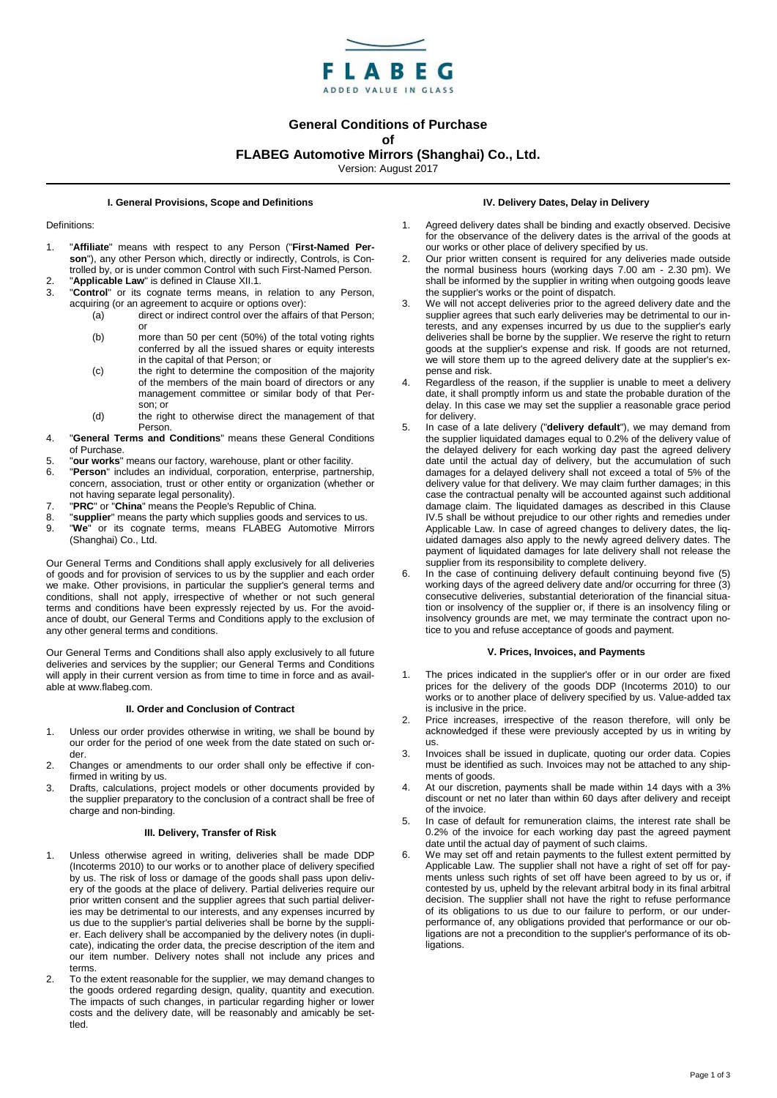

# **General Conditions of Purchase of**

# **FLABEG Automotive Mirrors (Shanghai) Co., Ltd.**

Version: August 2017

#### **I. General Provisions, Scope and Definitions**

#### Definitions:

- 1. "**Affiliate**" means with respect to any Person ("**First-Named Person**"), any other Person which, directly or indirectly, Controls, is Controlled by, or is under common Control with such First-Named Person.
- 2. "**Applicable Law**" is defined in Clause XII.1. "Control" or its cognate terms means, in relation to any Person, acquiring (or an agreement to acquire or options over):
	- (a) direct or indirect control over the affairs of that Person; or
	- (b) more than 50 per cent (50%) of the total voting rights conferred by all the issued shares or equity interests in the capital of that Person; or
	- (c) the right to determine the composition of the majority of the members of the main board of directors or any management committee or similar body of that Person; or
	- (d) the right to otherwise direct the management of that **Person**
- 4. "**General Terms and Conditions**" means these General Conditions of Purchase.
- 5. "**our works**" means our factory, warehouse, plant or other facility.
- 6. "**Person**" includes an individual, corporation, enterprise, partnership, concern, association, trust or other entity or organization (whether or not having separate legal personality).
- 7. "**PRC**" or "**China**" means the People's Republic of China.
- 8. "**supplier**" means the party which supplies goods and services to us. 9. "**We**" or its cognate terms, means FLABEG Automotive Mirrors (Shanghai) Co., Ltd.

Our General Terms and Conditions shall apply exclusively for all deliveries of goods and for provision of services to us by the supplier and each order we make. Other provisions, in particular the supplier's general terms and conditions, shall not apply, irrespective of whether or not such general terms and conditions have been expressly rejected by us. For the avoidance of doubt, our General Terms and Conditions apply to the exclusion of any other general terms and conditions.

Our General Terms and Conditions shall also apply exclusively to all future deliveries and services by the supplier; our General Terms and Conditions will apply in their current version as from time to time in force and as available at www.flabeg.com.

# **II. Order and Conclusion of Contract**

- 1. Unless our order provides otherwise in writing, we shall be bound by our order for the period of one week from the date stated on such order.
- 2. Changes or amendments to our order shall only be effective if confirmed in writing by us.
- 3. Drafts, calculations, project models or other documents provided by the supplier preparatory to the conclusion of a contract shall be free of charge and non-binding.

# **III. Delivery, Transfer of Risk**

- 1. Unless otherwise agreed in writing, deliveries shall be made DDP (Incoterms 2010) to our works or to another place of delivery specified by us. The risk of loss or damage of the goods shall pass upon delivery of the goods at the place of delivery. Partial deliveries require our prior written consent and the supplier agrees that such partial deliveries may be detrimental to our interests, and any expenses incurred by us due to the supplier's partial deliveries shall be borne by the supplier. Each delivery shall be accompanied by the delivery notes (in duplicate), indicating the order data, the precise description of the item and our item number. Delivery notes shall not include any prices and terms.
- 2. To the extent reasonable for the supplier, we may demand changes to the goods ordered regarding design, quality, quantity and execution. The impacts of such changes, in particular regarding higher or lower costs and the delivery date, will be reasonably and amicably be settled.

#### **IV. Delivery Dates, Delay in Delivery**

- 1. Agreed delivery dates shall be binding and exactly observed. Decisive for the observance of the delivery dates is the arrival of the goods at our works or other place of delivery specified by us.
- 2. Our prior written consent is required for any deliveries made outside the normal business hours (working days 7.00 am - 2.30 pm). We shall be informed by the supplier in writing when outgoing goods leave the supplier's works or the point of dispatch.
- We will not accept deliveries prior to the agreed delivery date and the supplier agrees that such early deliveries may be detrimental to our interests, and any expenses incurred by us due to the supplier's early deliveries shall be borne by the supplier. We reserve the right to return goods at the supplier's expense and risk. If goods are not returned, we will store them up to the agreed delivery date at the supplier's expense and risk.
- Regardless of the reason, if the supplier is unable to meet a delivery date, it shall promptly inform us and state the probable duration of the delay. In this case we may set the supplier a reasonable grace period for delivery.
- <span id="page-0-0"></span>5. In case of a late delivery ("**delivery default**"), we may demand from the supplier liquidated damages equal to 0.2% of the delivery value of the delayed delivery for each working day past the agreed delivery date until the actual day of delivery, but the accumulation of such damages for a delayed delivery shall not exceed a total of 5% of the delivery value for that delivery. We may claim further damages; in this case the contractual penalty will be accounted against such additional damage claim. The liquidated damages as described in this Clause I[V.5](#page-0-0) shall be without prejudice to our other rights and remedies under Applicable Law. In case of agreed changes to delivery dates, the liquidated damages also apply to the newly agreed delivery dates. The payment of liquidated damages for late delivery shall not release the supplier from its responsibility to complete delivery.
- 6. In the case of continuing delivery default continuing beyond five (5) working days of the agreed delivery date and/or occurring for three (3) consecutive deliveries, substantial deterioration of the financial situation or insolvency of the supplier or, if there is an insolvency filing or insolvency grounds are met, we may terminate the contract upon notice to you and refuse acceptance of goods and payment.

### **V. Prices, Invoices, and Payments**

- 1. The prices indicated in the supplier's offer or in our order are fixed prices for the delivery of the goods DDP (Incoterms 2010) to our works or to another place of delivery specified by us. Value-added tax is inclusive in the price.
- 2. Price increases, irrespective of the reason therefore, will only be acknowledged if these were previously accepted by us in writing by us.
- 3. Invoices shall be issued in duplicate, quoting our order data. Copies must be identified as such. Invoices may not be attached to any shipments of goods.
- 4. At our discretion, payments shall be made within 14 days with a 3% discount or net no later than within 60 days after delivery and receipt of the invoice.
- 5. In case of default for remuneration claims, the interest rate shall be 0.2% of the invoice for each working day past the agreed payment date until the actual day of payment of such claims.
- 6. We may set off and retain payments to the fullest extent permitted by Applicable Law. The supplier shall not have a right of set off for payments unless such rights of set off have been agreed to by us or, if contested by us, upheld by the relevant arbitral body in its final arbitral decision. The supplier shall not have the right to refuse performance of its obligations to us due to our failure to perform, or our underperformance of, any obligations provided that performance or our obligations are not a precondition to the supplier's performance of its obligations.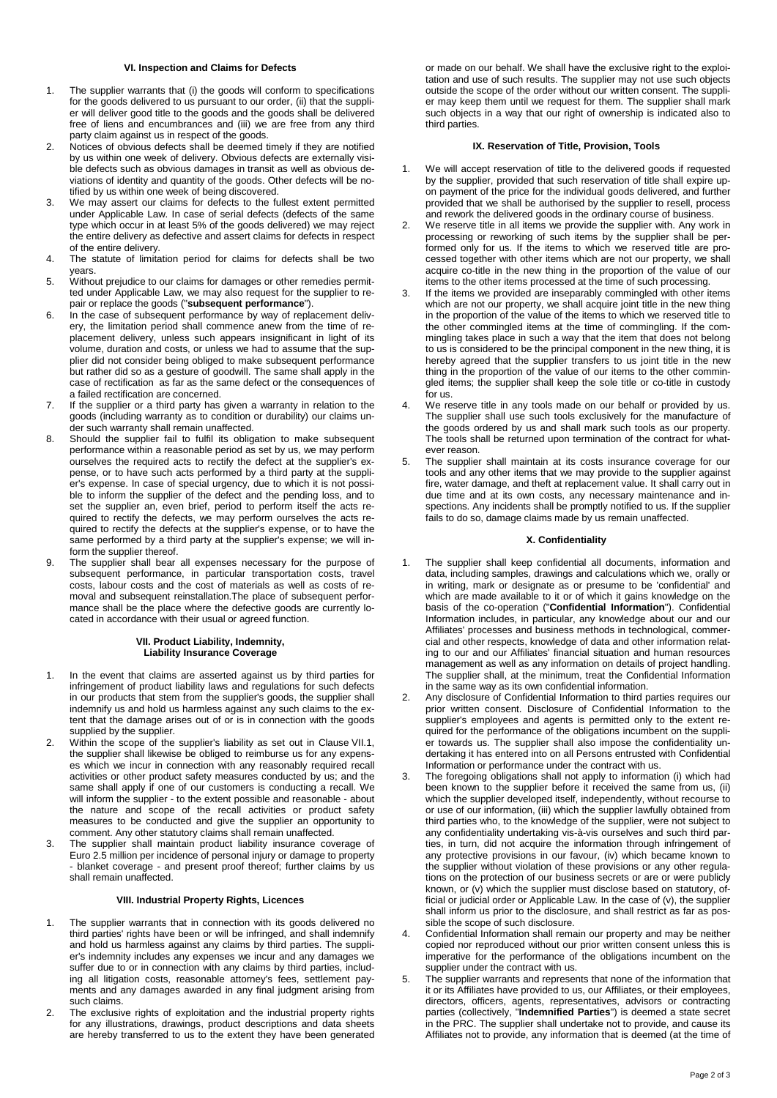## **VI. Inspection and Claims for Defects**

- 1. The supplier warrants that (i) the goods will conform to specifications for the goods delivered to us pursuant to our order, (ii) that the supplier will deliver good title to the goods and the goods shall be delivered free of liens and encumbrances and (iii) we are free from any third party claim against us in respect of the goods.
- 2. Notices of obvious defects shall be deemed timely if they are notified by us within one week of delivery. Obvious defects are externally visible defects such as obvious damages in transit as well as obvious deviations of identity and quantity of the goods. Other defects will be notified by us within one week of being discovered.
- 3. We may assert our claims for defects to the fullest extent permitted under Applicable Law. In case of serial defects (defects of the same type which occur in at least 5% of the goods delivered) we may reject the entire delivery as defective and assert claims for defects in respect of the entire delivery.
- 4. The statute of limitation period for claims for defects shall be two years.
- 5. Without prejudice to our claims for damages or other remedies permitted under Applicable Law, we may also request for the supplier to repair or replace the goods ("**subsequent performance**").
- 6. In the case of subsequent performance by way of replacement delivery, the limitation period shall commence anew from the time of replacement delivery, unless such appears insignificant in light of its volume, duration and costs, or unless we had to assume that the supplier did not consider being obliged to make subsequent performance but rather did so as a gesture of goodwill. The same shall apply in the case of rectification as far as the same defect or the consequences of a failed rectification are concerned.
- 7. If the supplier or a third party has given a warranty in relation to the goods (including warranty as to condition or durability) our claims under such warranty shall remain unaffected.
- 8. Should the supplier fail to fulfil its obligation to make subsequent performance within a reasonable period as set by us, we may perform ourselves the required acts to rectify the defect at the supplier's expense, or to have such acts performed by a third party at the supplier's expense. In case of special urgency, due to which it is not possible to inform the supplier of the defect and the pending loss, and to set the supplier an, even brief, period to perform itself the acts required to rectify the defects, we may perform ourselves the acts required to rectify the defects at the supplier's expense, or to have the same performed by a third party at the supplier's expense; we will inform the supplier thereof.
- 9. The supplier shall bear all expenses necessary for the purpose of subsequent performance, in particular transportation costs, travel costs, labour costs and the cost of materials as well as costs of removal and subsequent reinstallation.The place of subsequent performance shall be the place where the defective goods are currently located in accordance with their usual or agreed function.

## **VII. Product Liability, Indemnity, Liability Insurance Coverage**

- 1. In the event that claims are asserted against us by third parties for infringement of product liability laws and regulations for such defects in our products that stem from the supplier's goods, the supplier shall indemnify us and hold us harmless against any such claims to the extent that the damage arises out of or is in connection with the goods supplied by the supplier.
- Within the scope of the supplier's liability as set out in Clause VII.1, the supplier shall likewise be obliged to reimburse us for any expenses which we incur in connection with any reasonably required recall activities or other product safety measures conducted by us; and the same shall apply if one of our customers is conducting a recall. We will inform the supplier - to the extent possible and reasonable - about the nature and scope of the recall activities or product safety measures to be conducted and give the supplier an opportunity to comment. Any other statutory claims shall remain unaffected.
- 3. The supplier shall maintain product liability insurance coverage of Euro 2.5 million per incidence of personal injury or damage to property - blanket coverage - and present proof thereof; further claims by us shall remain unaffected.

# **VIII. Industrial Property Rights, Licences**

- 1. The supplier warrants that in connection with its goods delivered no third parties' rights have been or will be infringed, and shall indemnify and hold us harmless against any claims by third parties. The supplier's indemnity includes any expenses we incur and any damages we suffer due to or in connection with any claims by third parties, including all litigation costs, reasonable attorney's fees, settlement payments and any damages awarded in any final judgment arising from such claims.
- 2. The exclusive rights of exploitation and the industrial property rights for any illustrations, drawings, product descriptions and data sheets are hereby transferred to us to the extent they have been generated

or made on our behalf. We shall have the exclusive right to the exploitation and use of such results. The supplier may not use such objects outside the scope of the order without our written consent. The supplier may keep them until we request for them. The supplier shall mark such objects in a way that our right of ownership is indicated also to third parties.

# **IX. Reservation of Title, Provision, Tools**

- We will accept reservation of title to the delivered goods if requested by the supplier, provided that such reservation of title shall expire upon payment of the price for the individual goods delivered, and further provided that we shall be authorised by the supplier to resell, process and rework the delivered goods in the ordinary course of business.
- We reserve title in all items we provide the supplier with. Any work in processing or reworking of such items by the supplier shall be performed only for us. If the items to which we reserved title are processed together with other items which are not our property, we shall acquire co-title in the new thing in the proportion of the value of our items to the other items processed at the time of such processing.
- If the items we provided are inseparably commingled with other items which are not our property, we shall acquire joint title in the new thing in the proportion of the value of the items to which we reserved title to the other commingled items at the time of commingling. If the commingling takes place in such a way that the item that does not belong to us is considered to be the principal component in the new thing, it is hereby agreed that the supplier transfers to us joint title in the new thing in the proportion of the value of our items to the other commingled items; the supplier shall keep the sole title or co-title in custody for us.
- We reserve title in any tools made on our behalf or provided by us. The supplier shall use such tools exclusively for the manufacture of the goods ordered by us and shall mark such tools as our property. The tools shall be returned upon termination of the contract for whatever reason.
- 5. The supplier shall maintain at its costs insurance coverage for our tools and any other items that we may provide to the supplier against fire, water damage, and theft at replacement value. It shall carry out in due time and at its own costs, any necessary maintenance and inspections. Any incidents shall be promptly notified to us. If the supplier fails to do so, damage claims made by us remain unaffected.

## **X. Confidentiality**

- The supplier shall keep confidential all documents, information and data, including samples, drawings and calculations which we, orally or in writing, mark or designate as or presume to be 'confidential' and which are made available to it or of which it gains knowledge on the basis of the co-operation ("**Confidential Information**"). Confidential Information includes, in particular, any knowledge about our and our Affiliates' processes and business methods in technological, commercial and other respects, knowledge of data and other information relating to our and our Affiliates' financial situation and human resources management as well as any information on details of project handling. The supplier shall, at the minimum, treat the Confidential Information in the same way as its own confidential information.
- Any disclosure of Confidential Information to third parties requires our prior written consent. Disclosure of Confidential Information to the supplier's employees and agents is permitted only to the extent required for the performance of the obligations incumbent on the supplier towards us. The supplier shall also impose the confidentiality undertaking it has entered into on all Persons entrusted with Confidential Information or performance under the contract with us.
- The foregoing obligations shall not apply to information (i) which had been known to the supplier before it received the same from us, (ii) which the supplier developed itself, independently, without recourse to or use of our information, (iii) which the supplier lawfully obtained from third parties who, to the knowledge of the supplier, were not subject to any confidentiality undertaking vis-à-vis ourselves and such third parties, in turn, did not acquire the information through infringement of any protective provisions in our favour, (iv) which became known to the supplier without violation of these provisions or any other regulations on the protection of our business secrets or are or were publicly known, or (v) which the supplier must disclose based on statutory, official or judicial order or Applicable Law. In the case of (v), the supplier shall inform us prior to the disclosure, and shall restrict as far as possible the scope of such disclosure.
- 4. Confidential Information shall remain our property and may be neither copied nor reproduced without our prior written consent unless this is imperative for the performance of the obligations incumbent on the supplier under the contract with us.
- 5. The supplier warrants and represents that none of the information that it or its Affiliates have provided to us, our Affiliates, or their employees, directors, officers, agents, representatives, advisors or contracting parties (collectively, "**Indemnified Parties**") is deemed a state secret in the PRC. The supplier shall undertake not to provide, and cause its Affiliates not to provide, any information that is deemed (at the time of